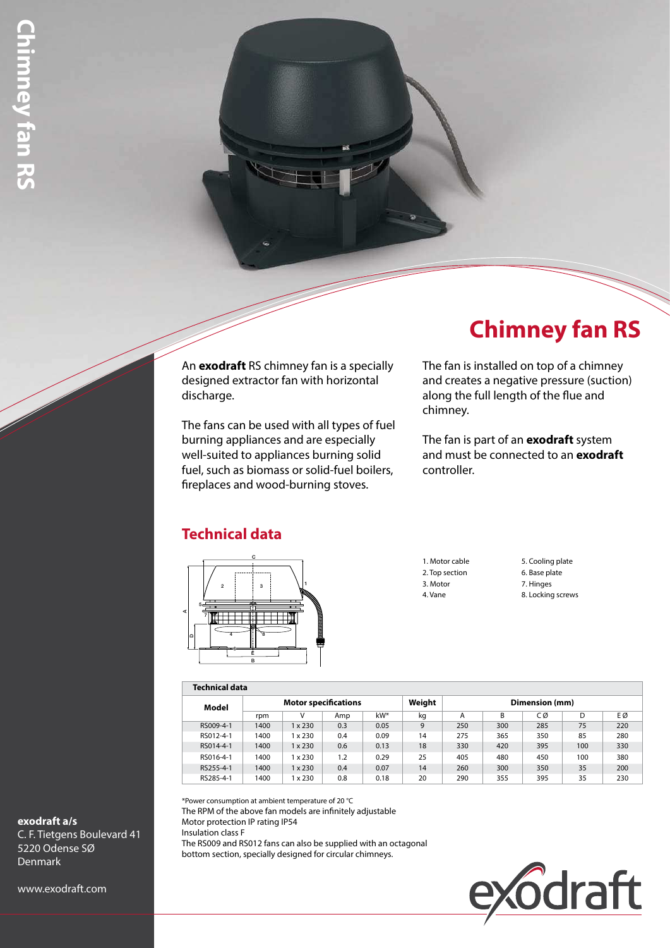### An **exodraft** RS chimney fan is a specially designed extractor fan with horizontal discharge.

The fans can be used with all types of fuel burning appliances and are especially well-suited to appliances burning solid fuel, such as biomass or solid-fuel boilers, fireplaces and wood-burning stoves.

# **Chimney fan RS**

The fan is installed on top of a chimney and creates a negative pressure (suction) along the full length of the flue and chimney.

The fan is part of an **exodraft** system and must be connected to an **exodraft** controller.

## **Technical data**



1. Motor cable 2. Top section 3. Motor 4. Vane

5. Cooling plate 6. Base plate 7. Hinges 8. Locking screws

#### **Technical data**

| .         |                             |                |     |      |        |                |     |     |     |     |
|-----------|-----------------------------|----------------|-----|------|--------|----------------|-----|-----|-----|-----|
| Model     | <b>Motor specifications</b> |                |     |      | Weight | Dimension (mm) |     |     |     |     |
|           | rpm                         | v              | Amp | kW*  | kg     | A              | B   | СØ  | D   | ΕØ  |
| RS009-4-1 | 1400                        | $1 \times 230$ | 0.3 | 0.05 | 9      | 250            | 300 | 285 | 75  | 220 |
| RS012-4-1 | 1400                        | x 230          | 0.4 | 0.09 | 14     | 275            | 365 | 350 | 85  | 280 |
| RS014-4-1 | 1400                        | $1 \times 230$ | 0.6 | 0.13 | 18     | 330            | 420 | 395 | 100 | 330 |
| RS016-4-1 | 1400                        | x 230          | 1.2 | 0.29 | 25     | 405            | 480 | 450 | 100 | 380 |
| RS255-4-1 | 1400                        | $1 \times 230$ | 0.4 | 0.07 | 14     | 260            | 300 | 350 | 35  | 200 |
| RS285-4-1 | 1400                        | 1 x 230        | 0.8 | 0.18 | 20     | 290            | 355 | 395 | 35  | 230 |

\*Power consumption at ambient temperature of 20 °C

The RPM of the above fan models are infinitely adjustable Motor protection IP rating IP54 Insulation class F The RS009 and RS012 fans can also be supplied with an octagonal bottom section, specially designed for circular chimneys.



**exodraft a/s** C. F. Tietgens Boulevard 41 5220 Odense SØ Denmark

www.exodraft.com